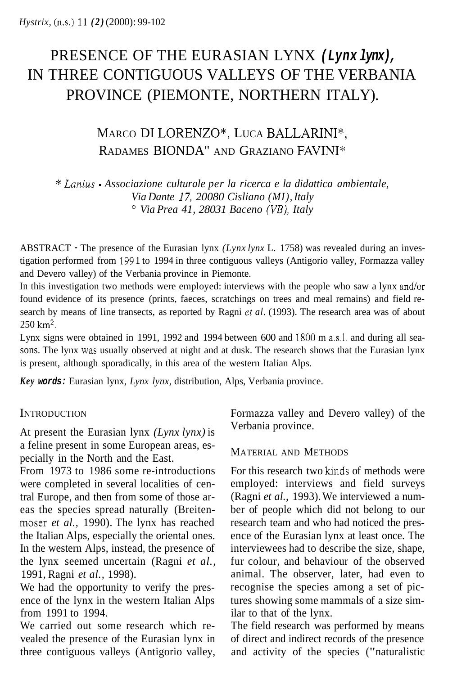# PRESENCE OF THE EURASIAN LYNX *(Lynx lynx),*  IN THREE CONTIGUOUS VALLEYS OF THE VERBANIA PROVINCE (PIEMONTE, NORTHERN ITALY).

## MARCO DI LORENZO", LUCA BALLARINI", RADAMES BIONDA" AND GRAZIANO FAVINI\*

\* *Lanius* - *Associazione culturale per la ricerca e la didattica ambientale, Via Dante 17, 20080 Cisliano (MI), Italy Via Prea 41, 28031 Baceno (VB), Italy* 

ABSTRACT - The presence of the Eurasian lynx *(Lynx lynx* L. 1758) was revealed during an investigation performed from I99 1 to 1994 in three contiguous valleys (Antigorio valley, Formazza valley and Devero valley) of the Verbania province in Piemonte.

In this investigation two methods were employed: interviews with the people who saw a lynx and/or found evidence of its presence (prints, faeces, scratchings on trees and meal remains) and field research by means of line transects, as reported by Ragni *et al.* (1993). The research area was of about 250 **km2.** 

Lynx signs were obtained in 1991, 1992 and 1994 between 600 and 1800 m a.s.l. and during all seasons. The lynx was usually observed at night and at dusk. The research shows that the Eurasian lynx is present, although sporadically, in this area of the western Italian Alps.

*Key words:* Eurasian lynx, *Lynx lynx,* distribution, Alps, Verbania province.

### **INTRODUCTION**

At present the Eurasian lynx *(Lynx lynx)* is a feline present in some European areas, especially in the North and the East.

From 1973 to 1986 some re-introductions were completed in several localities of central Europe, and then from some of those areas the species spread naturally (Breitenmoser *et al.,* 1990). The lynx has reached the Italian Alps, especially the oriental ones. In the western Alps, instead, the presence of the lynx seemed uncertain (Ragni *et al.,*  1991, Ragni *et al.,* 1998).

We had the opportunity to verify the presence of the lynx in the western Italian Alps from 1991 to 1994.

We carried out some research which revealed the presence of the Eurasian lynx in three contiguous valleys (Antigorio valley, Formazza valley and Devero valley) of the Verbania province.

#### MATERIAL AND METHODS

For this research two kinds of methods were employed: interviews and field surveys (Ragni *et al.,* 1993). We interviewed a number of people which did not belong to our research team and who had noticed the presence of the Eurasian lynx at least once. The interviewees had to describe the size, shape, fur colour, and behaviour of the observed animal. The observer, later, had even to recognise the species among a set of pictures showing some mammals of a size similar to that of the lynx.

The field research was performed by means of direct and indirect records of the presence and activity of the species ("naturalistic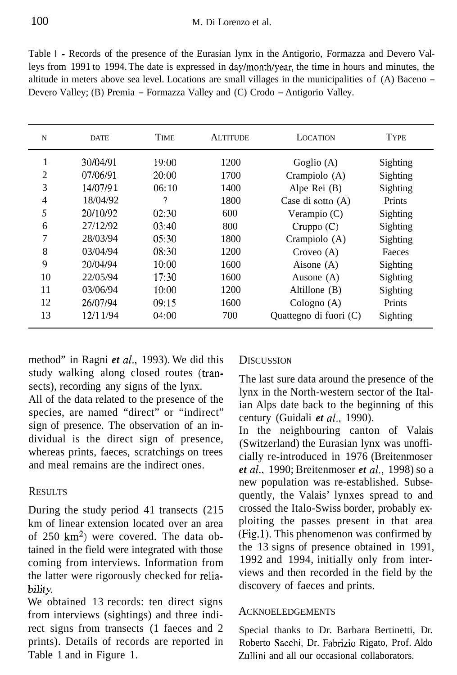Table 1 - Records of the presence of the Eurasian lynx in the Antigorio, Formazza and Devero Valleys from 1991 to 1994. The date is expressed in day/month/year, the time in hours and minutes, the altitude in meters above sea level. Locations are small villages in the municipalities of (A) Baceno - Devero Valley; (B) Premia - Formazza Valley and (C) Crodo - Antigorio Valley.

| N              | <b>DATE</b> | TIME   | <b>ALTITUDE</b> | <b>LOCATION</b>        | <b>TYPE</b> |
|----------------|-------------|--------|-----------------|------------------------|-------------|
| 1              | 30/04/91    | 19:00  | 1200            | Goglio $(A)$           | Sighting    |
| $\overline{c}$ | 07/06/91    | 20:00  | 1700            | Crampiolo (A)          | Sighting    |
| 3              | 14/07/91    | 06:10  | 1400            | Alpe Rei (B)           | Sighting    |
| 4              | 18/04/92    | 2      | 1800            | Case di sotto (A)      | Prints      |
| 5              | 20/10/92    | 02:30  | 600             | Verampio $(C)$         | Sighting    |
| 6              | 27/12/92    | 03:40  | 800             | $C$ ruppo $(C)$        | Sighting    |
| 7              | 28/03/94    | 0.5:30 | 1800            | Crampiolo (A)          | Sighting    |
| 8              | 03/04/94    | 08:30  | 1200            | Croveo $(A)$           | Faeces      |
| 9              | 20/04/94    | 10:00  | 1600            | Aisone $(A)$           | Sighting    |
| 10             | 22/05/94    | 17:30  | 1600            | Ausone $(A)$           | Sighting    |
| 11             | 03/06/94    | 10:00  | 1200            | Altillone $(B)$        | Sighting    |
| 12             | 26/07/94    | 09:15  | 1600            | Cologno $(A)$          | Prints      |
| 13             | 12/11/94    | 04:00  | 700             | Quattegno di fuori (C) | Sighting    |

method" in Ragni *et al.,* 1993). We did this study walking along closed routes (transects), recording any signs of the lynx.

All of the data related to the presence of the species, are named "direct" or "indirect" sign of presence. The observation of an individual is the direct sign of presence, whereas prints, faeces, scratchings on trees and meal remains are the indirect ones.

#### RESULTS

During the study period 41 transects (215 km of linear extension located over an area of 250  $km^2$ ) were covered. The data obtained in the field were integrated with those coming from interviews. Information from the latter were rigorously checked for reliability.

We obtained 13 records: ten direct signs from interviews (sightings) and three indirect signs from transects (1 faeces and 2 prints). Details of records are reported in Table 1 and in Figure 1.

#### **DISCUSSION**

The last sure data around the presence of the lynx in the North-western sector of the Italian Alps date back to the beginning of this century (Guidali *et al.,* 1990).

In the neighbouring canton of Valais (Switzerland) the Eurasian lynx was unofficially re-introduced in 1976 (Breitenmoser *et al.,* 1990; Breitenmoser *et al.,* 1998) so a new population was re-established. Subsequently, the Valais' lynxes spread to and crossed the Italo-Swiss border, probably exploiting the passes present in that area (Fig.1). This phenomenon was confirmed by the 13 signs of presence obtained in 1991, 1992 and 1994, initially only from interviews and then recorded in the field by the discovery of faeces and prints.

#### ACKNOELEDGEMENTS

Special thanks to Dr. Barbara Bertinetti, Dr. Roberto Sacchi, Dr. Fabrizio Rigato, Prof. Aldo Zullini and all our occasional collaborators.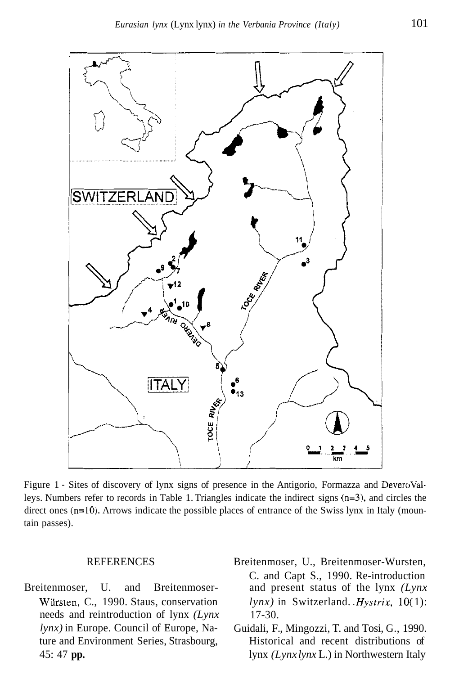

Figure 1 - Sites of discovery of lynx signs of presence in the Antigorio, Formazza and DeveroValleys. Numbers refer to records in Table 1. Triangles indicate the indirect signs (n=3), and circles the direct ones (n=10). Arrows indicate the possible places of entrance of the Swiss lynx in Italy (mountain passes).

- Wiirsten, C., 1990. Staus, conservation *lynx)* in Europe. Council of Europe, Nature and Environment Series, Strasbourg, 45: 47 **pp.**  needs and reintroduction of lynx *(Lynx* 17-30.
- REFERENCES Breitenmoser, U., Breitenmoser-Wursten, C. and Capt S., 1990. Re-introduction Breitenmoser, U. and Breitenmoser- and present status of the lynx *(Lynx lynx)* in Switzerland. *.Hystrix,* 10( 1):
	- Guidali, F., Mingozzi, T. and Tosi, G., 1990. Historical and recent distributions of lynx *(Lynx lynx* L.) in Northwestern Italy